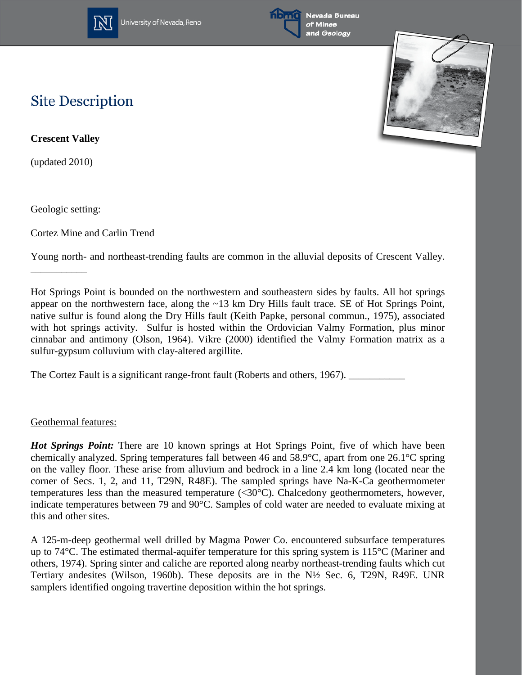

University of Nevada, Reno



## **Site Description**

**Crescent Valley**

(updated 2010)

Geologic setting:

\_\_\_\_\_\_\_\_\_\_\_

Cortez Mine and Carlin Trend

Young north- and northeast-trending faults are common in the alluvial deposits of Crescent Valley.

Hot Springs Point is bounded on the northwestern and southeastern sides by faults. All hot springs appear on the northwestern face, along the ~13 km Dry Hills fault trace. SE of Hot Springs Point, native sulfur is found along the Dry Hills fault (Keith Papke, personal commun., 1975), associated with hot springs activity. Sulfur is hosted within the Ordovician Valmy Formation, plus minor cinnabar and antimony (Olson, 1964). Vikre (2000) identified the Valmy Formation matrix as a sulfur-gypsum colluvium with clay-altered argillite.

The Cortez Fault is a significant range-front fault (Roberts and others, 1967).

## Geothermal features:

*Hot Springs Point:* There are 10 known springs at Hot Springs Point, five of which have been chemically analyzed. Spring temperatures fall between 46 and 58.9°C, apart from one 26.1°C spring on the valley floor. These arise from alluvium and bedrock in a line 2.4 km long (located near the corner of Secs. 1, 2, and 11, T29N, R48E). The sampled springs have Na-K-Ca geothermometer temperatures less than the measured temperature  $(<30^{\circ}$ C). Chalcedony geothermometers, however, indicate temperatures between 79 and 90°C. Samples of cold water are needed to evaluate mixing at this and other sites.

A 125-m-deep geothermal well drilled by Magma Power Co. encountered subsurface temperatures up to 74°C. The estimated thermal-aquifer temperature for this spring system is 115°C (Mariner and others, 1974). Spring sinter and caliche are reported along nearby northeast-trending faults which cut Tertiary andesites (Wilson, 1960b). These deposits are in the N½ Sec. 6, T29N, R49E. UNR samplers identified ongoing travertine deposition within the hot springs.